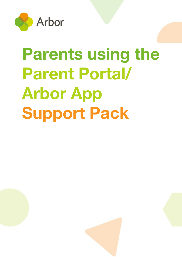

# **Parents using the Parent Portal/ Arbor App Support Pack**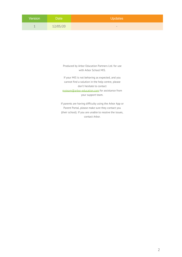| <b>Version</b> | Date     | Updates                  |
|----------------|----------|--------------------------|
|                | 12/05/20 | $\overline{\phantom{a}}$ |

Produced by Arbor Education Partners Ltd. for use with Arbor School MIS.

If your MIS is not behaving as expected, and you cannot find a solution in the help centre, please don't hesitate to contact [myteam@arbor-education.com](mailto:myteam@arbor-education.com) for assistance from your support team.

If parents are having difficulty using the Arbor App or Parent Portal, please make sure they contact you (their school). If you are unable to resolve the issues, contact Arbor.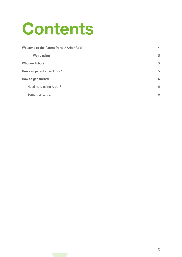# **Contents**

| <b>Welcome to the Parent Portal/ Arbor App!</b> |                |  |
|-------------------------------------------------|----------------|--|
| We're using                                     | $\overline{5}$ |  |
| <b>Who are Arbor?</b>                           |                |  |
| How can parents use Arbor?                      |                |  |
| How to get started                              |                |  |
| Need help using Arbor?                          | 6              |  |
| Some tips to try:                               | 6              |  |

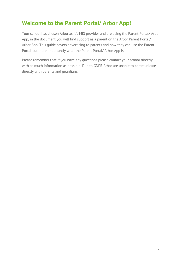## <span id="page-3-0"></span>**Welcome to the Parent Portal/ Arbor App!**

Your school has chosen Arbor as it's MIS provider and are using the Parent Portal/ Arbor App, in the document you will find support as a parent on the Arbor Parent Portal/ Arbor App. This guide covers advertising to parents and how they can use the Parent Portal but more importantly what the Parent Portal/ Arbor App is.

Please remember that if you have any questions please contact your school directly with as much information as possible. Due to GDPR Arbor are unable to communicate directly with parents and guardians.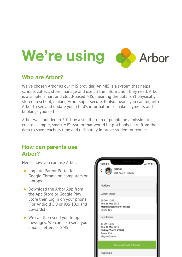<span id="page-4-0"></span>

#### <span id="page-4-1"></span>**Who are Arbor?**

We've chosen Arbor as our MIS provider. An MIS is a system that helps schools collect, store, manage and use all the information they need. Arbor is a simple, smart and cloud-based MIS, meaning the data isn't physically stored in school, making Arbor super secure. It also means you can log into Arbor to see and update your child's information or make payments and bookings yourself!

Arbor was founded in 2011 by a small group of people on a mission to create a simple, smart MIS system that would help schools learn from their data to save teachers time and ultimately improve student outcomes.

#### <span id="page-4-2"></span>**How can parents use Arbor?**

Here's how you can use Arbor:

- Log into Parent Portal for Google Chrome on computers or laptops
- Download the Arbor App from the App Store or Google Play Store then log in on your phone (For Android 5.0 or iOS 10.0 and upwards)
- We can then send you In-app messages. We can also send you emails, letters or SMS!